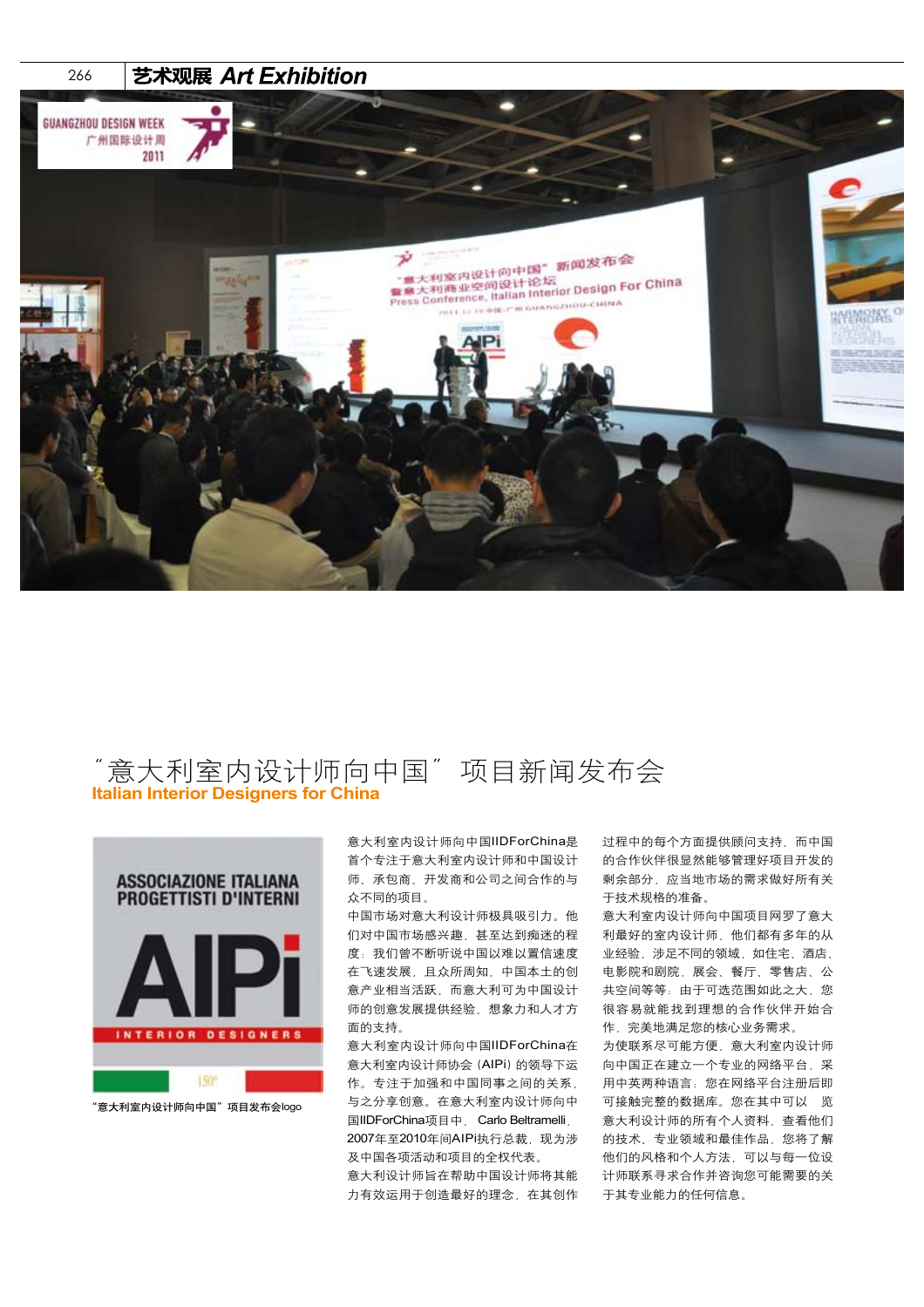

## 意大利室内设计师向中国"项目新闻发布会 **Italian Interior Designers for China**



"意大利室内设计师向中国"项目发布会logo

意大利室内设计师向中国IIDForChina是 首个专注于意大利室内设计师和中国设计 师、承包商、开发商和公司之间合作的与 众不同的项目。

中国市场对意大利设计师极具吸引力。他 们对中国市场感兴趣,甚至达到痴迷的程 度: 我们曾不断听说中国以难以置信速度 在飞速发展,且众所周知,中国本土的创 意产业相当活跃,而意大利可为中国设计 师的创意发展提供经验、想象力和人才方 面的支持。

意大利室内设计师向中国IIDForChina在 意大利室内设计师协会(AIPi)的领导下运 作。专注于加强和中国同事之间的关系, 与之分享创意。在意大利室内设计师向中 国IIDForChina项目中, Carlo Beltramelli, 2007年至2010年间AIPi执行总裁, 现为涉 及中国各项活动和项目的全权代表。 意大利设计师旨在帮助中国设计师将其能 力有效运用于创造最好的理念,在其创作 过程中的每个方面提供顾问支持,而中国 的合作伙伴很显然能够管理好项目开发的 剩余部分,应当地市场的需求做好所有关 于技术规格的准备。

意大利室内设计师向中国项目网罗了意大 利最好的室内设计师,他们都有多年的从 业经验,涉足不同的领域,如住宅、酒店、 电影院和剧院,展会、餐厅、零售店、公 共空间等等: 由于可选范围如此之大, 您 很容易就能找到理想的合作伙伴开始合 作,完美地满足您的核心业务需求。

为使联系尽可能方便,意大利室内设计师 向中国正在建立一个专业的网络平台,采 用中英两种语言:您在网络平台注册后即 可接触完整的数据库。您在其中可以 览 意大利设计师的所有个人资料,查看他们 的技术、专业领域和最佳作品,您将了解 他们的风格和个人方法,可以与每一位设 计师联系寻求合作并咨询您可能需要的关 于其专业能力的任何信息。